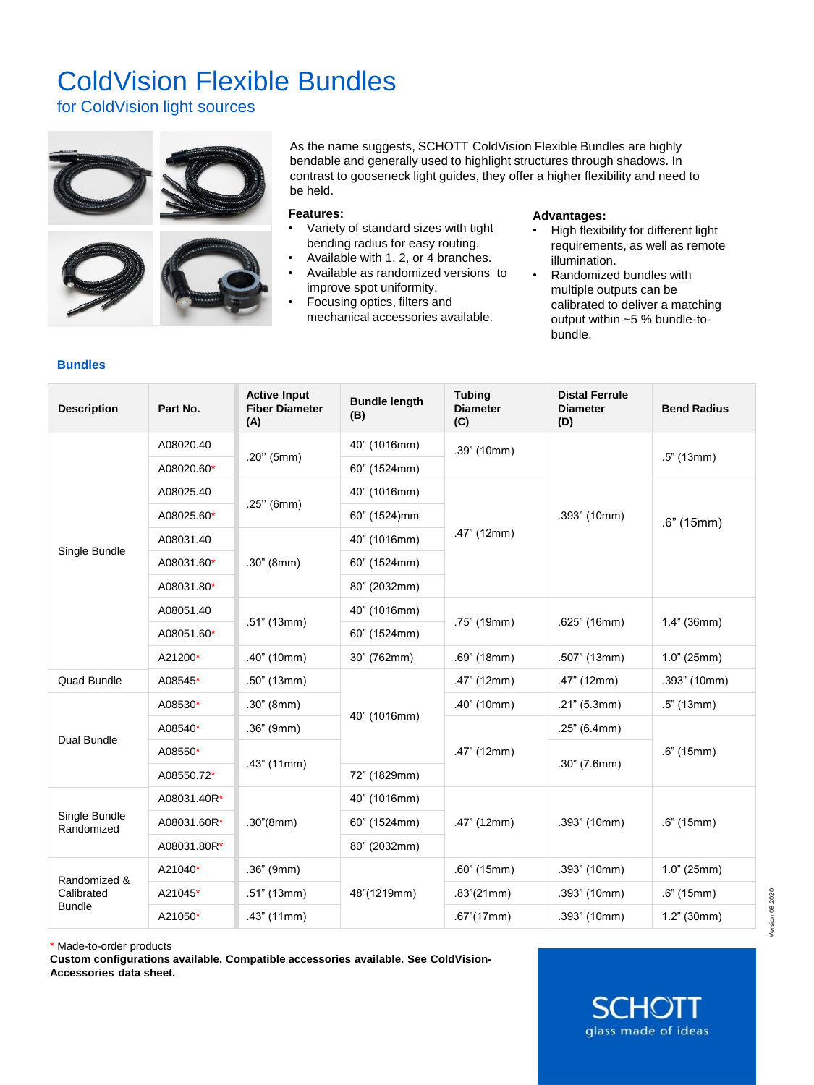## ColdVision Flexible Bundles

for ColdVision light sources



As the name suggests, SCHOTT ColdVision Flexible Bundles are highly bendable and generally used to highlight structures through shadows. In contrast to gooseneck light guides, they offer a higher flexibility and need to be held.

## **Features:**

- Variety of standard sizes with tight bending radius for easy routing.
- Available with 1, 2, or 4 branches. • Available as randomized versions to
- improve spot uniformity. • Focusing optics, filters and
- mechanical accessories available.

## **Advantages:**

- High flexibility for different light requirements, as well as remote illumination.
- Randomized bundles with multiple outputs can be calibrated to deliver a matching output within ~5 % bundle-tobundle.

**SCHO** glass made of ideas

## **Bundles**

| <b>Description</b>                          | Part No.    | <b>Active Input</b><br><b>Fiber Diameter</b><br>(A) | <b>Bundle length</b><br>(B) | <b>Tubing</b><br><b>Diameter</b><br>(C) | <b>Distal Ferrule</b><br><b>Diameter</b><br>(D) | <b>Bend Radius</b> |
|---------------------------------------------|-------------|-----------------------------------------------------|-----------------------------|-----------------------------------------|-------------------------------------------------|--------------------|
| Single Bundle                               | A08020.40   | $.20"$ (5mm)                                        | 40" (1016mm)                | .39" (10mm)                             | .393" (10mm)                                    | $.5"$ (13mm)       |
|                                             | A08020.60*  |                                                     | 60" (1524mm)                |                                         |                                                 |                    |
|                                             | A08025.40   | $.25"$ (6mm)                                        | 40" (1016mm)                | .47" (12mm)                             |                                                 | .6" (15mm)         |
|                                             | A08025.60*  |                                                     | 60" (1524)mm                |                                         |                                                 |                    |
|                                             | A08031.40   | .30" (8mm)                                          | 40" (1016mm)                |                                         |                                                 |                    |
|                                             | A08031.60*  |                                                     | 60" (1524mm)                |                                         |                                                 |                    |
|                                             | A08031.80*  |                                                     | 80" (2032mm)                |                                         |                                                 |                    |
|                                             | A08051.40   | .51" (13mm)                                         | 40" (1016mm)                | .75" (19mm)                             | .625" (16mm)                                    | $1.4"$ (36mm)      |
|                                             | A08051.60*  |                                                     | 60" (1524mm)                |                                         |                                                 |                    |
|                                             | A21200*     | .40" (10mm)                                         | 30" (762mm)                 | .69" (18mm)                             | .507" (13mm)                                    | 1.0" (25mm)        |
| <b>Quad Bundle</b>                          | A08545*     | $.50$ " (13mm)                                      | 40" (1016mm)                | .47" (12mm)                             | $.47$ " (12mm)                                  | .393" (10mm)       |
| Dual Bundle                                 | A08530*     | .30" (8mm)                                          |                             | .40" (10mm)                             | .21" (5.3mm)                                    | $.5"$ (13mm)       |
|                                             | A08540*     | $.36"$ (9mm)                                        |                             | .47" (12mm)                             | .25" (6.4mm)                                    | .6" (15mm)         |
|                                             | A08550*     | .43" (11mm)                                         |                             |                                         | $.30''$ (7.6mm)                                 |                    |
|                                             | A08550.72*  |                                                     | 72" (1829mm)                |                                         |                                                 |                    |
| Single Bundle<br>Randomized                 | A08031.40R* | .30''(8mm)                                          | 40" (1016mm)                | .47" (12mm)                             | .393" (10mm)                                    | .6" (15mm)         |
|                                             | A08031.60R* |                                                     | 60" (1524mm)                |                                         |                                                 |                    |
|                                             | A08031.80R* |                                                     | 80" (2032mm)                |                                         |                                                 |                    |
| Randomized &<br>Calibrated<br><b>Bundle</b> | A21040*     | .36" (9mm)<br>.51" (13mm)<br>.43" (11mm)            | 48"(1219mm)                 | .60" (15mm)                             | .393" (10mm)                                    | 1.0" (25mm)        |
|                                             | A21045*     |                                                     |                             | .83''(21mm)                             | .393" (10mm)                                    | .6" (15mm)         |
|                                             | A21050*     |                                                     |                             | .67''(17mm)                             | .393" (10mm)                                    | 1.2" (30mm)        |

\* Made-to-order products

**Custom configurations available. Compatible accessories available. See ColdVision-Accessories data sheet.**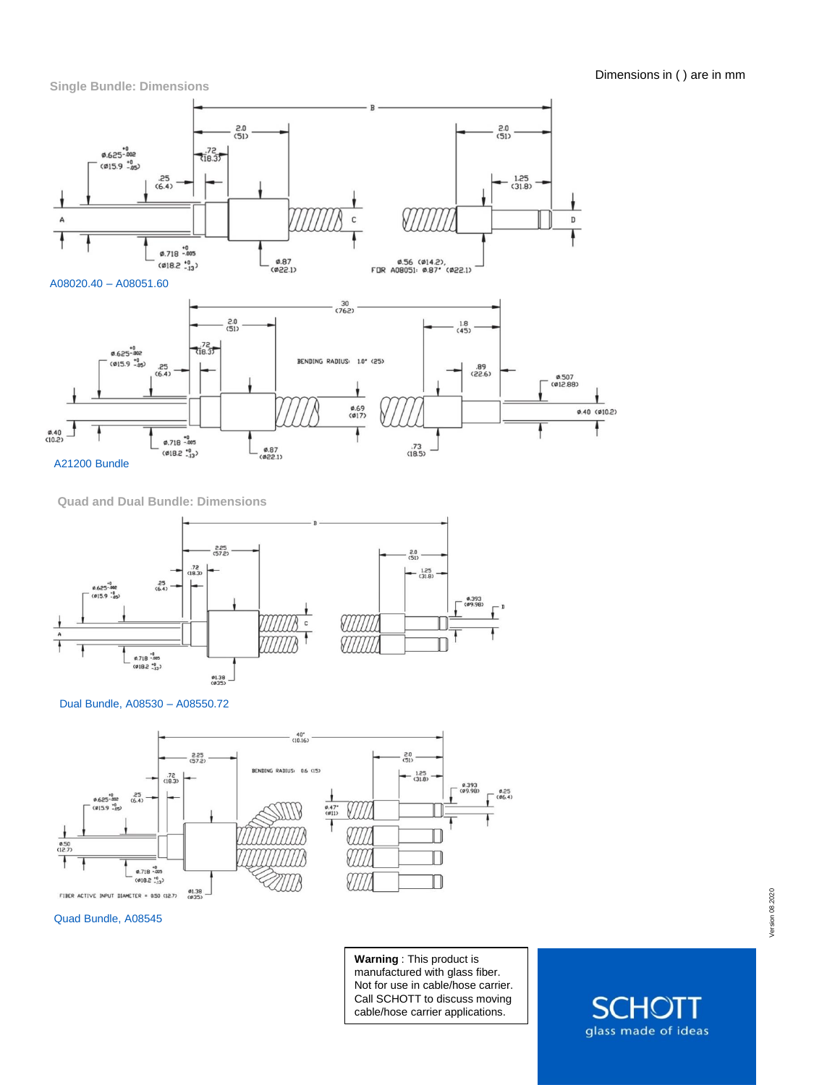



**Quad and Dual Bundle: Dimensions**







Quad Bundle, A08545

**Warning** : This product is manufactured with glass fiber. Not for use in cable/hose carrier. Call SCHOTT to discuss moving cable/hose carrier applications.

glass made of ideas